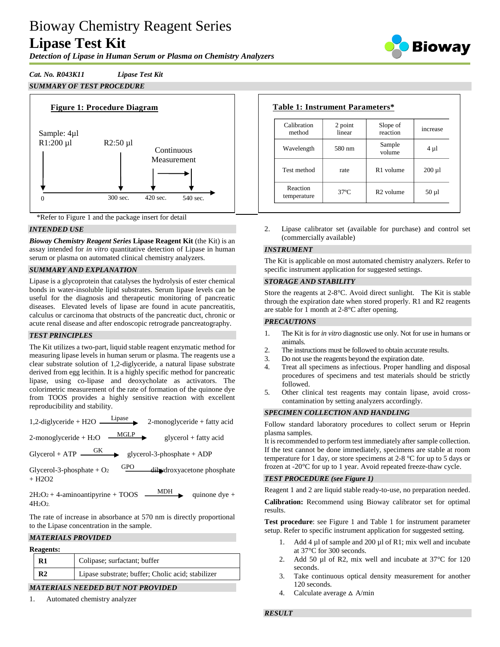# Bioway Chemistry Reagent Series **Lipase Test Kit**

*Detection of Lipase in Human Serum or Plasma on Chemistry Analyzers*



# *Cat. No. R043K11 Lipase Test Kit SUMMARY OF TEST PROCEDURE*





# *INTENDED USE*

*Bioway Chemistry Reagent Series* **Lipase Reagent Kit** (the Kit) is an assay intended for *in vitro* quantitative detection of Lipase in human serum or plasma on automated clinical chemistry analyzers.

# *SUMMARY AND EXPLANATION*

Lipase is a glycoprotein that catalyses the hydrolysis of ester chemical bonds in water-insoluble lipid substrates. Serum lipase levels can be useful for the diagnosis and therapeutic monitoring of pancreatic diseases. Elevated levels of lipase are found in acute pancreatitis, calculus or carcinoma that obstructs of the pancreatic duct, chronic or acute renal disease and after endoscopic retrograde pancreatography.

# *TEST PRINCIPLES*

The Kit utilizes a two-part, liquid stable reagent enzymatic method for measuring lipase levels in human serum or plasma. The reagents use a clear substrate solution of 1,2-diglyceride, a natural lipase substrate derived from egg lecithin. It is a highly specific method for pancreatic lipase, using co-lipase and deoxycholate as activators. The colorimetric measurement of the rate of formation of the quinone dye from TOOS provides a highly sensitive reaction with excellent reproducibility and stability.

| $1,2$ -diglyceride + H2O | Lipase | $2$ -monoglyceride + fatty acid |
|--------------------------|--------|---------------------------------|
|--------------------------|--------|---------------------------------|

2-monoglyceride + H<sub>2</sub>O  $\frac{\text{MGLP}}{}$ glycerol + fatty acid

Glycerol + ATP  $\longrightarrow$  glycerol-3-phosphate + ADP

Glycerol-3-phosphate  $+$  O<sub>2</sub> GPO dihydroxyacetone phosphate  $+$  H<sub>2</sub>O<sub>2</sub>

 $2H_2O_2 + 4$ -aminoantipyrine + TOOS — MDH quinone dye +  $4H<sub>2</sub>O<sub>2</sub>$ 

The rate of increase in absorbance at 570 nm is directly proportional to the Lipase concentration in the sample.

#### *MATERIALS PROVIDED*

| <b>Reagents:</b> |                                                   |
|------------------|---------------------------------------------------|
| R1               | Colipase; surfactant; buffer                      |
| R2               | Lipase substrate; buffer; Cholic acid; stabilizer |
|                  | <i>MATEDIALS MEEDED BUT MAT DRAUDED</i>           |

# *MATERIALS NEEDED BUT NOT PROVIDED*

1. Automated chemistry analyzer

# **Table 1: Instrument Parameters\***

| Calibration<br>method   | 2 point<br>linear | Slope of<br>reaction  | increase    |
|-------------------------|-------------------|-----------------------|-------------|
| Wavelength              | 580 nm            | Sample<br>volume      | $4 \mu l$   |
| Test method             | rate              | R <sub>1</sub> volume | $200 \mu l$ |
| Reaction<br>temperature | $37^\circ$ C      | R <sub>2</sub> volume | $50 \mu l$  |

2. Lipase calibrator set (available for purchase) and control set (commercially available)

#### *INSTRUMENT*

The Kit is applicable on most automated chemistry analyzers. Refer to specific instrument application for suggested settings.

#### *STORAGE AND STABILITY*

Store the reagents at 2-8°C. Avoid direct sunlight. The Kit is stable through the expiration date when stored properly. R1 and R2 reagents are stable for 1 month at 2-8°C after opening.

#### *PRECAUTIONS*

- 1. The Kit is for *in vitro* diagnostic use only. Not for use in humans or animals.
- 2. The instructions must be followed to obtain accurate results.
- 3. Do not use the reagents beyond the expiration date.
- Treat all specimens as infectious. Proper handling and disposal procedures of specimens and test materials should be strictly followed.
- 5. Other clinical test reagents may contain lipase, avoid crosscontamination by setting analyzers accordingly.

#### *SPECIMEN COLLECTION AND HANDLING*

Follow standard laboratory procedures to collect serum or Heprin plasma samples.

It is recommended to perform test immediately after sample collection. If the test cannot be done immediately, specimens are stable at room temperature for 1 day, or store specimens at 2-8 °C for up to 5 days or frozen at -20°C for up to 1 year. Avoid repeated freeze-thaw cycle.

#### *TEST PROCEDURE (see Figure 1)*

Reagent 1 and 2 are liquid stable ready-to-use, no preparation needed.

**Calibration:** Recommend using Bioway calibrator set for optimal results.

**Test procedure**: see Figure 1 and Table 1 for instrument parameter setup. Refer to specific instrument application for suggested setting.

- 1. Add 4 µl of sample and 200 µl of R1; mix well and incubate at 37°C for 300 seconds.
- 2. Add 50 µl of R2, mix well and incubate at 37°C for 120 seconds.
- 3. Take continuous optical density measurement for another 120 seconds.
- 4. Calculate average  $\triangle$  A/min